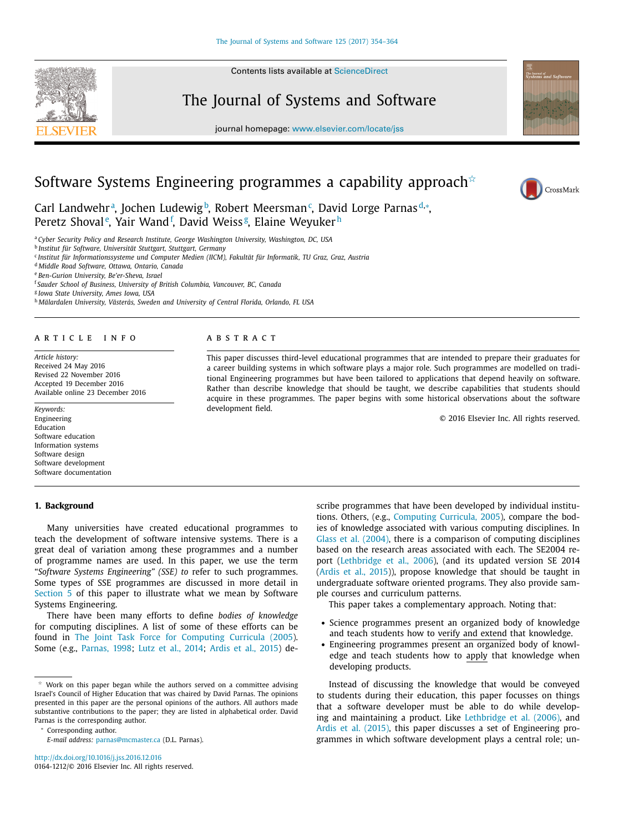Contents lists available at [ScienceDirect](http://www.ScienceDirect.com)



# The Journal of Systems and Software

journal homepage: [www.elsevier.com/locate/jss](http://www.elsevier.com/locate/jss)



CrossMark

# Software Systems Engineering programmes a capability approach $^{\scriptscriptstyle\mathrm{\star}}$

Carl Landwehr<sup>a</sup>, Jochen Ludewig<sup>b</sup>, Robert Meersman<sup>c</sup>, David Lorge Parnas<sup>d,\*</sup>, Peretz Shoval<sup>e</sup>, Yair Wand<sup>f</sup>, David Weiss<sup>g</sup>, Elaine Weyuker<sup>h</sup>

A B S T R A C T

<sup>a</sup> *Cyber Security Policy and Research Institute, George Washington University, Washington, DC, USA*

<sup>b</sup> *Institut für Software, Universität Stuttgart, Stuttgart, Germany*

<sup>c</sup> *Institut für Informationssysteme und Computer Medien (IICM), Fakultät für Informatik, TU Graz, Graz, Austria*

<sup>d</sup> *Middle Road Software, Ottawa, Ontario, Canada*

<sup>e</sup> *Ben-Gurion University, Be'er-Sheva, Israel*

<sup>f</sup> *Sauder School of Business, University of British Columbia, Vancouver, BC, Canada*

<sup>g</sup> *Iowa State University, Ames Iowa, USA*

<sup>h</sup> *Mälardalen University, Västerås, Sweden and University of Central Florida, Orlando, FL USA*

#### a r t i c l e i n f o

*Article history:* Received 24 May 2016 Revised 22 November 2016 Accepted 19 December 2016 Available online 23 December 2016

*Keywords:* Engineering **Education** Software education Information systems Software design Software development Software documentation

#### **1. Background**

# development field.

scribe programmes that have been developed by individual institutions. Others, (e.g., [Computing](#page-9-0) Curricula, 2005), compare the bodies of knowledge associated with various computing disciplines. In Glass et al. [\(2004\),](#page-9-0) there is a comparison of computing disciplines based on the research areas associated with each. The SE2004 report [\(Lethbridge](#page-9-0) et al., 2006), (and its updated version SE 2014 [\(Ardis](#page-9-0) et al., 2015)), propose knowledge that should be taught in undergraduate software oriented programs. They also provide sample courses and curriculum patterns.

© 2016 Elsevier Inc. All rights reserved.

This paper discusses third-level educational programmes that are intended to prepare their graduates for a career building systems in which software plays a major role. Such programmes are modelled on traditional Engineering programmes but have been tailored to applications that depend heavily on software. Rather than describe knowledge that should be taught, we describe capabilities that students should acquire in these programmes. The paper begins with some historical observations about the software

This paper takes a complementary approach. Noting that:

- Science programmes present an organized body of knowledge and teach students how to verify and extend that knowledge.
- Engineering programmes present an organized body of knowledge and teach students how to apply that knowledge when developing products.

Instead of discussing the knowledge that would be conveyed to students during their education, this paper focusses on things that a software developer must be able to do while developing and maintaining a product. Like [Lethbridge](#page-9-0) et al. (2006), and Ardis et al. [\(2015\),](#page-9-0) this paper discusses a set of Engineering programmes in which software development plays a central role; un-

Many universities have created educational programmes to teach the development of software intensive systems. There is a great deal of variation among these programmes and a number of programme names are used. In this paper, we use the term "*Software Systems Engineering" (SSE) to* refer to such programmes. Some types of SSE programmes are discussed in more detail in [Section](#page-7-0) 5 of this paper to illustrate what we mean by Software

There have been many efforts to define *bodies of knowledge* for computing disciplines. A list of some of these efforts can be found in The Joint Task Force for [Computing](#page-9-0) Curricula (2005). Some (e.g., [Parnas,](#page-9-0) 1998; Lutz et al., [2014;](#page-9-0) [Ardis](#page-9-0) et al., 2015) de-

<sup>∗</sup> Corresponding author.

Systems Engineering.

*E-mail address:* [parnas@mcmaster.ca](mailto:parnas@mcmaster.ca) (D.L. Parnas).



 $*$  Work on this paper began while the authors served on a committee advising Israel's Council of Higher Education that was chaired by David Parnas. The opinions presented in this paper are the personal opinions of the authors. All authors made substantive contributions to the paper; they are listed in alphabetical order. David Parnas is the corresponding author.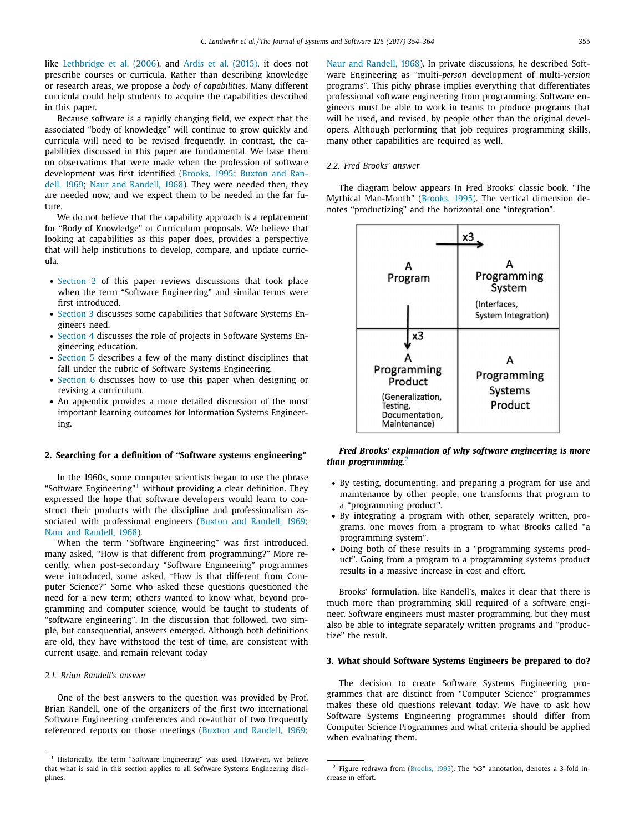<span id="page-1-0"></span>like [Lethbridge](#page-9-0) et al. (2006), and Ardis et al. [\(2015\),](#page-9-0) it does not prescribe courses or curricula. Rather than describing knowledge or research areas, we propose a *body of capabilities*. Many different curricula could help students to acquire the capabilities described in this paper.

Because software is a rapidly changing field, we expect that the associated "body of knowledge" will continue to grow quickly and curricula will need to be revised frequently. In contrast, the capabilities discussed in this paper are fundamental. We base them on observations that were made when the profession of software [development](#page-9-0) was first identified [\(Brooks,](#page-9-0) 1995; Buxton and Randell, 1969; Naur and [Randell,](#page-9-0) 1968). They were needed then, they are needed now, and we expect them to be needed in the far future.

We do not believe that the capability approach is a replacement for "Body of Knowledge" or Curriculum proposals. We believe that looking at capabilities as this paper does, provides a perspective that will help institutions to develop, compare, and update curricula.

- Section 2 of this paper reviews discussions that took place when the term "Software Engineering" and similar terms were first introduced.
- Section 3 discusses some capabilities that Software Systems Engineers need.
- [Section](#page-6-0) 4 discusses the role of projects in Software Systems Engineering education.
- [Section](#page-7-0) 5 describes a few of the many distinct disciplines that fall under the rubric of Software Systems Engineering.
- [Section](#page-8-0) 6 discusses how to use this paper when designing or revising a curriculum.
- An appendix provides a more detailed discussion of the most important learning outcomes for Information Systems Engineering.

### **2. Searching for a definition of "Software systems engineering"**

In the 1960s, some computer scientists began to use the phrase "Software Engineering"<sup>1</sup> without providing a clear definition. They expressed the hope that software developers would learn to construct their products with the discipline and professionalism associated with professional engineers (Buxton and [Randell,](#page-9-0) 1969; Naur and [Randell,](#page-9-0) 1968).

When the term "Software Engineering" was first introduced, many asked, "How is that different from programming?" More recently, when post-secondary "Software Engineering" programmes were introduced, some asked, "How is that different from Computer Science?" Some who asked these questions questioned the need for a new term; others wanted to know what, beyond programming and computer science, would be taught to students of "software engineering". In the discussion that followed, two simple, but consequential, answers emerged. Although both definitions are old, they have withstood the test of time, are consistent with current usage, and remain relevant today

#### *2.1. Brian Randell's answer*

One of the best answers to the question was provided by Prof. Brian Randell, one of the organizers of the first two international Software Engineering conferences and co-author of two frequently referenced reports on those meetings (Buxton and [Randell,](#page-9-0) 1969;

Naur and [Randell,](#page-9-0) 1968). In private discussions, he described Software Engineering as "multi*-person* development of multi-*version* programs". This pithy phrase implies everything that differentiates professional software engineering from programming. Software engineers must be able to work in teams to produce programs that will be used, and revised, by people other than the original developers. Although performing that job requires programming skills, many other capabilities are required as well.

#### *2.2. Fred Brooks' answer*

The diagram below appears In Fred Brooks' classic book, "The Mythical Man-Month" [\(Brooks,](#page-9-0) 1995). The vertical dimension denotes "productizing" and the horizontal one "integration".



#### *Fred Brooks' explanation of why software engineering is more than programming.*<sup>2</sup>

- By testing, documenting, and preparing a program for use and maintenance by other people, one transforms that program to a "programming product".
- By integrating a program with other, separately written, programs, one moves from a program to what Brooks called "a programming system".
- Doing both of these results in a "programming systems product". Going from a program to a programming systems product results in a massive increase in cost and effort.

Brooks' formulation, like Randell's, makes it clear that there is much more than programming skill required of a software engineer. Software engineers must master programming, but they must also be able to integrate separately written programs and "productize" the result.

#### **3. What should Software Systems Engineers be prepared to do?**

The decision to create Software Systems Engineering programmes that are distinct from "Computer Science" programmes makes these old questions relevant today. We have to ask how Software Systems Engineering programmes should differ from Computer Science Programmes and what criteria should be applied when evaluating them.

<sup>&</sup>lt;sup>1</sup> Historically, the term "Software Engineering" was used. However, we believe that what is said in this section applies to all Software Systems Engineering disciplines.

<sup>&</sup>lt;sup>2</sup> Figure redrawn from [\(Brooks,](#page-9-0) 1995). The "x3" annotation, denotes a 3-fold increase in effort.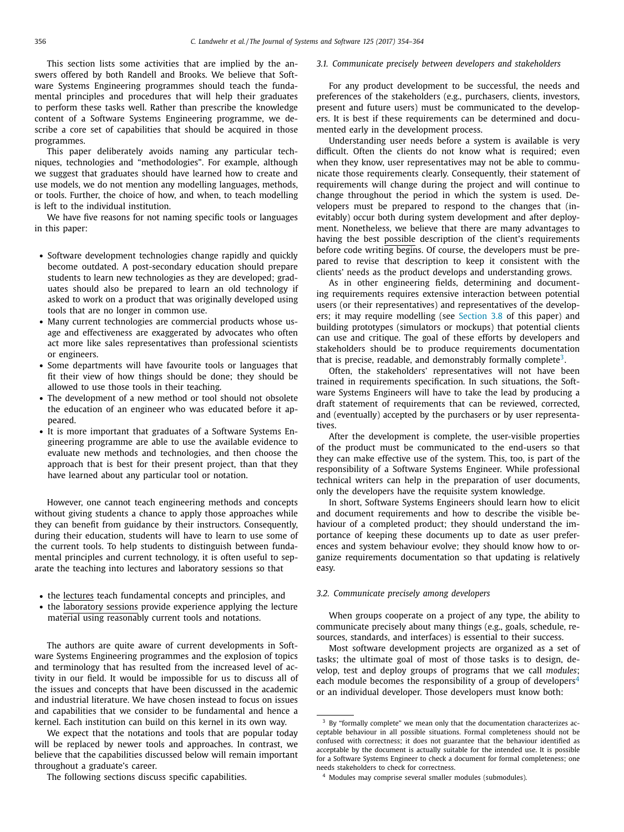This section lists some activities that are implied by the answers offered by both Randell and Brooks. We believe that Software Systems Engineering programmes should teach the fundamental principles and procedures that will help their graduates to perform these tasks well. Rather than prescribe the knowledge content of a Software Systems Engineering programme, we describe a core set of capabilities that should be acquired in those programmes.

This paper deliberately avoids naming any particular techniques, technologies and "methodologies". For example, although we suggest that graduates should have learned how to create and use models, we do not mention any modelling languages, methods, or tools. Further, the choice of how, and when, to teach modelling is left to the individual institution.

We have five reasons for not naming specific tools or languages in this paper:

- Software development technologies change rapidly and quickly become outdated. A post-secondary education should prepare students to learn new technologies as they are developed; graduates should also be prepared to learn an old technology if asked to work on a product that was originally developed using tools that are no longer in common use.
- Many current technologies are commercial products whose usage and effectiveness are exaggerated by advocates who often act more like sales representatives than professional scientists or engineers.
- Some departments will have favourite tools or languages that fit their view of how things should be done; they should be allowed to use those tools in their teaching.
- The development of a new method or tool should not obsolete the education of an engineer who was educated before it appeared.
- It is more important that graduates of a Software Systems Engineering programme are able to use the available evidence to evaluate new methods and technologies, and then choose the approach that is best for their present project, than that they have learned about any particular tool or notation.

However, one cannot teach engineering methods and concepts without giving students a chance to apply those approaches while they can benefit from guidance by their instructors. Consequently, during their education, students will have to learn to use some of the current tools. To help students to distinguish between fundamental principles and current technology, it is often useful to separate the teaching into lectures and laboratory sessions so that

- the lectures teach fundamental concepts and principles, and
- the laboratory sessions provide experience applying the lecture material using reasonably current tools and notations.

The authors are quite aware of current developments in Software Systems Engineering programmes and the explosion of topics and terminology that has resulted from the increased level of activity in our field. It would be impossible for us to discuss all of the issues and concepts that have been discussed in the academic and industrial literature. We have chosen instead to focus on issues and capabilities that we consider to be fundamental and hence a kernel. Each institution can build on this kernel in its own way.

We expect that the notations and tools that are popular today will be replaced by newer tools and approaches. In contrast, we believe that the capabilities discussed below will remain important throughout a graduate's career.

# The following sections discuss specific capabilities.

#### *3.1. Communicate precisely between developers and stakeholders*

For any product development to be successful, the needs and preferences of the stakeholders (e.g., purchasers, clients, investors, present and future users) must be communicated to the developers. It is best if these requirements can be determined and documented early in the development process.

Understanding user needs before a system is available is very difficult. Often the clients do not know what is required; even when they know, user representatives may not be able to communicate those requirements clearly. Consequently, their statement of requirements will change during the project and will continue to change throughout the period in which the system is used. Developers must be prepared to respond to the changes that (inevitably) occur both during system development and after deployment. Nonetheless, we believe that there are many advantages to having the best possible description of the client's requirements before code writing begins. Of course, the developers must be prepared to revise that description to keep it consistent with the clients' needs as the product develops and understanding grows.

As in other engineering fields, determining and documenting requirements requires extensive interaction between potential users (or their representatives) and representatives of the developers; it may require modelling (see [Section](#page-5-0) 3.8 of this paper) and building prototypes (simulators or mockups) that potential clients can use and critique. The goal of these efforts by developers and stakeholders should be to produce requirements documentation that is precise, readable, and demonstrably formally complete<sup>3</sup>.

Often, the stakeholders' representatives will not have been trained in requirements specification. In such situations, the Software Systems Engineers will have to take the lead by producing a draft statement of requirements that can be reviewed, corrected, and (eventually) accepted by the purchasers or by user representatives.

After the development is complete, the user-visible properties of the product must be communicated to the end-users so that they can make effective use of the system. This, too, is part of the responsibility of a Software Systems Engineer. While professional technical writers can help in the preparation of user documents, only the developers have the requisite system knowledge.

In short, Software Systems Engineers should learn how to elicit and document requirements and how to describe the visible behaviour of a completed product; they should understand the importance of keeping these documents up to date as user preferences and system behaviour evolve; they should know how to organize requirements documentation so that updating is relatively easy.

#### *3.2. Communicate precisely among developers*

When groups cooperate on a project of any type, the ability to communicate precisely about many things (e.g., goals, schedule, resources, standards, and interfaces) is essential to their success.

Most software development projects are organized as a set of tasks; the ultimate goal of most of those tasks is to design, develop, test and deploy groups of programs that we call *modules*; each module becomes the responsibility of a group of developers<sup>4</sup> or an individual developer. Those developers must know both:

<sup>&</sup>lt;sup>3</sup> By "formally complete" we mean only that the documentation characterizes acceptable behaviour in all possible situations. Formal completeness should not be confused with correctness; it does not guarantee that the behaviour identified as acceptable by the document is actually suitable for the intended use. It is possible for a Software Systems Engineer to check a document for formal completeness; one needs stakeholders to check for correctness.

<sup>4</sup> Modules may comprise several smaller modules (submodules).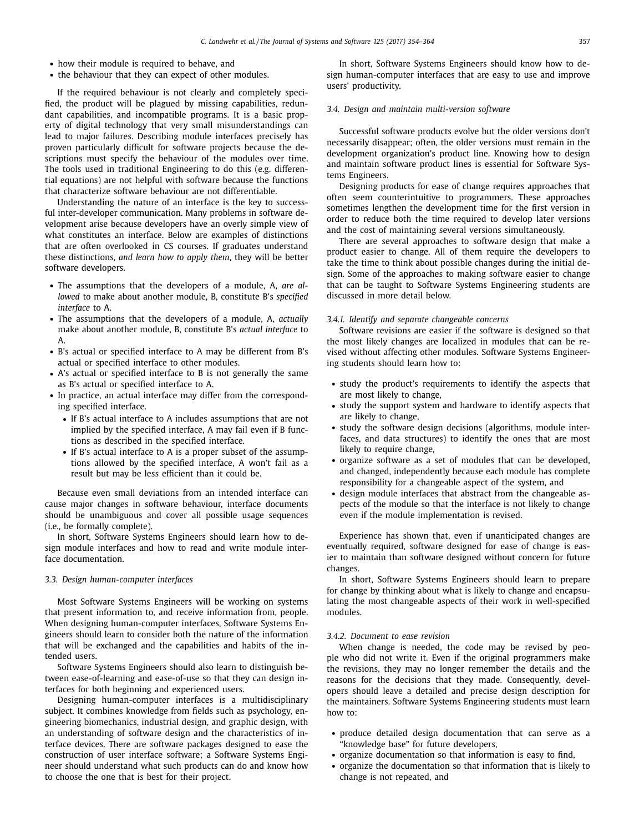- <span id="page-3-0"></span>• how their module is required to behave, and
- the behaviour that they can expect of other modules.

If the required behaviour is not clearly and completely specified, the product will be plagued by missing capabilities, redundant capabilities, and incompatible programs. It is a basic property of digital technology that very small misunderstandings can lead to major failures. Describing module interfaces precisely has proven particularly difficult for software projects because the descriptions must specify the behaviour of the modules over time. The tools used in traditional Engineering to do this (e.g. differential equations) are not helpful with software because the functions that characterize software behaviour are not differentiable.

Understanding the nature of an interface is the key to successful inter-developer communication. Many problems in software development arise because developers have an overly simple view of what constitutes an interface. Below are examples of distinctions that are often overlooked in CS courses. If graduates understand these distinctions, *and learn how to apply them*, they will be better software developers.

- The assumptions that the developers of a module, A, *are allowed* to make about another module, B, constitute B's *specified interface* to A.
- The assumptions that the developers of a module, A, *actually* make about another module, B, constitute B's *actual interface* to A.
- B's actual or specified interface to A may be different from B's actual or specified interface to other modules.
- A's actual or specified interface to B is not generally the same as B's actual or specified interface to A.
- In practice, an actual interface may differ from the corresponding specified interface.
	- If B's actual interface to A includes assumptions that are not implied by the specified interface, A may fail even if B functions as described in the specified interface.
	- If B's actual interface to A is a proper subset of the assumptions allowed by the specified interface, A won't fail as a result but may be less efficient than it could be.

Because even small deviations from an intended interface can cause major changes in software behaviour, interface documents should be unambiguous and cover all possible usage sequences (i.e., be formally complete).

In short, Software Systems Engineers should learn how to design module interfaces and how to read and write module interface documentation.

#### *3.3. Design human-computer interfaces*

Most Software Systems Engineers will be working on systems that present information to, and receive information from, people. When designing human-computer interfaces, Software Systems Engineers should learn to consider both the nature of the information that will be exchanged and the capabilities and habits of the intended users.

Software Systems Engineers should also learn to distinguish between ease-of-learning and ease-of-use so that they can design interfaces for both beginning and experienced users.

Designing human-computer interfaces is a multidisciplinary subject. It combines knowledge from fields such as psychology, engineering biomechanics, industrial design, and graphic design, with an understanding of software design and the characteristics of interface devices. There are software packages designed to ease the construction of user interface software; a Software Systems Engineer should understand what such products can do and know how to choose the one that is best for their project.

In short, Software Systems Engineers should know how to design human-computer interfaces that are easy to use and improve users' productivity.

#### *3.4. Design and maintain multi-version software*

Successful software products evolve but the older versions don't necessarily disappear; often, the older versions must remain in the development organization's product line. Knowing how to design and maintain software product lines is essential for Software Systems Engineers.

Designing products for ease of change requires approaches that often seem counterintuitive to programmers. These approaches sometimes lengthen the development time for the first version in order to reduce both the time required to develop later versions and the cost of maintaining several versions simultaneously.

There are several approaches to software design that make a product easier to change. All of them require the developers to take the time to think about possible changes during the initial design. Some of the approaches to making software easier to change that can be taught to Software Systems Engineering students are discussed in more detail below.

#### *3.4.1. Identify and separate changeable concerns*

Software revisions are easier if the software is designed so that the most likely changes are localized in modules that can be revised without affecting other modules. Software Systems Engineering students should learn how to:

- study the product's requirements to identify the aspects that are most likely to change,
- study the support system and hardware to identify aspects that are likely to change,
- study the software design decisions (algorithms, module interfaces, and data structures) to identify the ones that are most likely to require change,
- organize software as a set of modules that can be developed, and changed, independently because each module has complete responsibility for a changeable aspect of the system, and
- design module interfaces that abstract from the changeable aspects of the module so that the interface is not likely to change even if the module implementation is revised.

Experience has shown that, even if unanticipated changes are eventually required, software designed for ease of change is easier to maintain than software designed without concern for future changes.

In short, Software Systems Engineers should learn to prepare for change by thinking about what is likely to change and encapsulating the most changeable aspects of their work in well-specified modules.

## *3.4.2. Document to ease revision*

When change is needed, the code may be revised by people who did not write it. Even if the original programmers make the revisions, they may no longer remember the details and the reasons for the decisions that they made. Consequently, developers should leave a detailed and precise design description for the maintainers. Software Systems Engineering students must learn how to:

- produce detailed design documentation that can serve as a "knowledge base" for future developers,
- organize documentation so that information is easy to find,
- organize the documentation so that information that is likely to change is not repeated, and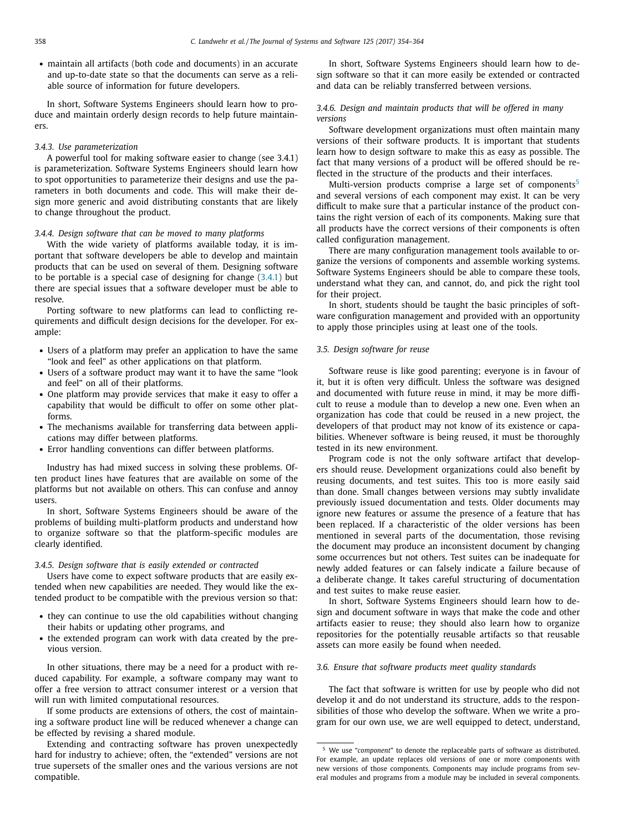• maintain all artifacts (both code and documents) in an accurate and up-to-date state so that the documents can serve as a reliable source of information for future developers.

In short, Software Systems Engineers should learn how to produce and maintain orderly design records to help future maintainers.

#### *3.4.3. Use parameterization*

A powerful tool for making software easier to change (see 3.4.1) is parameterization. Software Systems Engineers should learn how to spot opportunities to parameterize their designs and use the parameters in both documents and code. This will make their design more generic and avoid distributing constants that are likely to change throughout the product.

#### *3.4.4. Design software that can be moved to many platforms*

With the wide variety of platforms available today, it is important that software developers be able to develop and maintain products that can be used on several of them. Designing software to be portable is a special case of designing for change [\(3.4.1\)](#page-3-0) but there are special issues that a software developer must be able to resolve.

Porting software to new platforms can lead to conflicting requirements and difficult design decisions for the developer. For example:

- Users of a platform may prefer an application to have the same "look and feel" as other applications on that platform.
- Users of a software product may want it to have the same "look and feel" on all of their platforms.
- One platform may provide services that make it easy to offer a capability that would be difficult to offer on some other platforms.
- The mechanisms available for transferring data between applications may differ between platforms.
- Error handling conventions can differ between platforms.

Industry has had mixed success in solving these problems. Often product lines have features that are available on some of the platforms but not available on others. This can confuse and annoy users.

In short, Software Systems Engineers should be aware of the problems of building multi-platform products and understand how to organize software so that the platform-specific modules are clearly identified.

#### *3.4.5. Design software that is easily extended or contracted*

Users have come to expect software products that are easily extended when new capabilities are needed. They would like the extended product to be compatible with the previous version so that:

- they can continue to use the old capabilities without changing their habits or updating other programs, and
- the extended program can work with data created by the previous version.

In other situations, there may be a need for a product with reduced capability. For example, a software company may want to offer a free version to attract consumer interest or a version that will run with limited computational resources.

If some products are extensions of others, the cost of maintaining a software product line will be reduced whenever a change can be effected by revising a shared module.

Extending and contracting software has proven unexpectedly hard for industry to achieve; often, the "extended" versions are not true supersets of the smaller ones and the various versions are not compatible.

In short, Software Systems Engineers should learn how to design software so that it can more easily be extended or contracted and data can be reliably transferred between versions.

#### *3.4.6. Design and maintain products that will be offered in many versions*

Software development organizations must often maintain many versions of their software products. It is important that students learn how to design software to make this as easy as possible. The fact that many versions of a product will be offered should be reflected in the structure of the products and their interfaces.

Multi-version products comprise a large set of components<sup>5</sup> and several versions of each component may exist. It can be very difficult to make sure that a particular instance of the product contains the right version of each of its components. Making sure that all products have the correct versions of their components is often called configuration management.

There are many configuration management tools available to organize the versions of components and assemble working systems. Software Systems Engineers should be able to compare these tools, understand what they can, and cannot, do, and pick the right tool for their project.

In short, students should be taught the basic principles of software configuration management and provided with an opportunity to apply those principles using at least one of the tools.

#### *3.5. Design software for reuse*

Software reuse is like good parenting; everyone is in favour of it, but it is often very difficult. Unless the software was designed and documented with future reuse in mind, it may be more difficult to reuse a module than to develop a new one. Even when an organization has code that could be reused in a new project, the developers of that product may not know of its existence or capabilities. Whenever software is being reused, it must be thoroughly tested in its new environment.

Program code is not the only software artifact that developers should reuse. Development organizations could also benefit by reusing documents, and test suites. This too is more easily said than done. Small changes between versions may subtly invalidate previously issued documentation and tests. Older documents may ignore new features or assume the presence of a feature that has been replaced. If a characteristic of the older versions has been mentioned in several parts of the documentation, those revising the document may produce an inconsistent document by changing some occurrences but not others. Test suites can be inadequate for newly added features or can falsely indicate a failure because of a deliberate change. It takes careful structuring of documentation and test suites to make reuse easier.

In short, Software Systems Engineers should learn how to design and document software in ways that make the code and other artifacts easier to reuse; they should also learn how to organize repositories for the potentially reusable artifacts so that reusable assets can more easily be found when needed.

#### *3.6. Ensure that software products meet quality standards*

The fact that software is written for use by people who did not develop it and do not understand its structure, adds to the responsibilities of those who develop the software. When we write a program for our own use, we are well equipped to detect, understand,

<sup>5</sup> We use "*component*" to denote the replaceable parts of software as distributed. For example, an update replaces old versions of one or more components with new versions of those components. Components may include programs from several modules and programs from a module may be included in several components.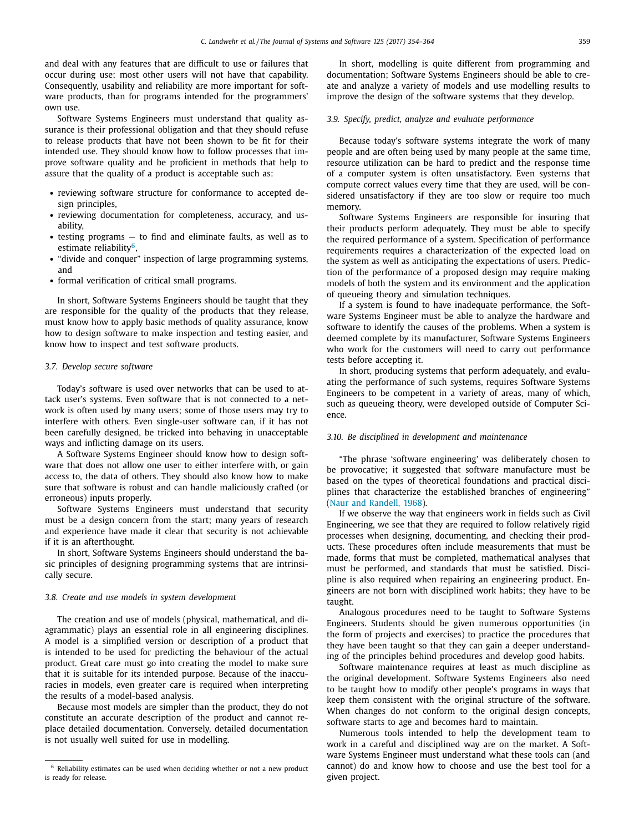<span id="page-5-0"></span>and deal with any features that are difficult to use or failures that occur during use; most other users will not have that capability. Consequently, usability and reliability are more important for software products, than for programs intended for the programmers' own use.

Software Systems Engineers must understand that quality assurance is their professional obligation and that they should refuse to release products that have not been shown to be fit for their intended use. They should know how to follow processes that improve software quality and be proficient in methods that help to assure that the quality of a product is acceptable such as:

- reviewing software structure for conformance to accepted design principles,
- reviewing documentation for completeness, accuracy, and usability,
- testing programs to find and eliminate faults, as well as to estimate reliability<sup>6</sup>.
- "divide and conquer" inspection of large programming systems, and
- formal verification of critical small programs.

In short, Software Systems Engineers should be taught that they are responsible for the quality of the products that they release, must know how to apply basic methods of quality assurance, know how to design software to make inspection and testing easier, and know how to inspect and test software products.

#### *3.7. Develop secure software*

Today's software is used over networks that can be used to attack user's systems. Even software that is not connected to a network is often used by many users; some of those users may try to interfere with others. Even single-user software can, if it has not been carefully designed, be tricked into behaving in unacceptable ways and inflicting damage on its users.

A Software Systems Engineer should know how to design software that does not allow one user to either interfere with, or gain access to, the data of others. They should also know how to make sure that software is robust and can handle maliciously crafted (or erroneous) inputs properly.

Software Systems Engineers must understand that security must be a design concern from the start; many years of research and experience have made it clear that security is not achievable if it is an afterthought.

In short, Software Systems Engineers should understand the basic principles of designing programming systems that are intrinsically secure.

#### *3.8. Create and use models in system development*

The creation and use of models (physical, mathematical, and diagrammatic) plays an essential role in all engineering disciplines. A model is a simplified version or description of a product that is intended to be used for predicting the behaviour of the actual product. Great care must go into creating the model to make sure that it is suitable for its intended purpose. Because of the inaccuracies in models, even greater care is required when interpreting the results of a model-based analysis.

Because most models are simpler than the product, they do not constitute an accurate description of the product and cannot replace detailed documentation. Conversely, detailed documentation is not usually well suited for use in modelling.

In short, modelling is quite different from programming and documentation; Software Systems Engineers should be able to create and analyze a variety of models and use modelling results to improve the design of the software systems that they develop.

#### *3.9. Specify, predict, analyze and evaluate performance*

Because today's software systems integrate the work of many people and are often being used by many people at the same time, resource utilization can be hard to predict and the response time of a computer system is often unsatisfactory. Even systems that compute correct values every time that they are used, will be considered unsatisfactory if they are too slow or require too much memory.

Software Systems Engineers are responsible for insuring that their products perform adequately. They must be able to specify the required performance of a system. Specification of performance requirements requires a characterization of the expected load on the system as well as anticipating the expectations of users. Prediction of the performance of a proposed design may require making models of both the system and its environment and the application of queueing theory and simulation techniques.

If a system is found to have inadequate performance, the Software Systems Engineer must be able to analyze the hardware and software to identify the causes of the problems. When a system is deemed complete by its manufacturer, Software Systems Engineers who work for the customers will need to carry out performance tests before accepting it.

In short, producing systems that perform adequately, and evaluating the performance of such systems, requires Software Systems Engineers to be competent in a variety of areas, many of which, such as queueing theory, were developed outside of Computer Science.

#### *3.10. Be disciplined in development and maintenance*

"The phrase 'software engineering' was deliberately chosen to be provocative; it suggested that software manufacture must be based on the types of theoretical foundations and practical disciplines that characterize the established branches of engineering" (Naur and [Randell,](#page-9-0) 1968).

If we observe the way that engineers work in fields such as Civil Engineering, we see that they are required to follow relatively rigid processes when designing, documenting, and checking their products. These procedures often include measurements that must be made, forms that must be completed, mathematical analyses that must be performed, and standards that must be satisfied. Discipline is also required when repairing an engineering product. Engineers are not born with disciplined work habits; they have to be taught.

Analogous procedures need to be taught to Software Systems Engineers. Students should be given numerous opportunities (in the form of projects and exercises) to practice the procedures that they have been taught so that they can gain a deeper understanding of the principles behind procedures and develop good habits.

Software maintenance requires at least as much discipline as the original development. Software Systems Engineers also need to be taught how to modify other people's programs in ways that keep them consistent with the original structure of the software. When changes do not conform to the original design concepts, software starts to age and becomes hard to maintain.

Numerous tools intended to help the development team to work in a careful and disciplined way are on the market. A Software Systems Engineer must understand what these tools can (and cannot) do and know how to choose and use the best tool for a given project.

<sup>6</sup> Reliability estimates can be used when deciding whether or not a new product is ready for release.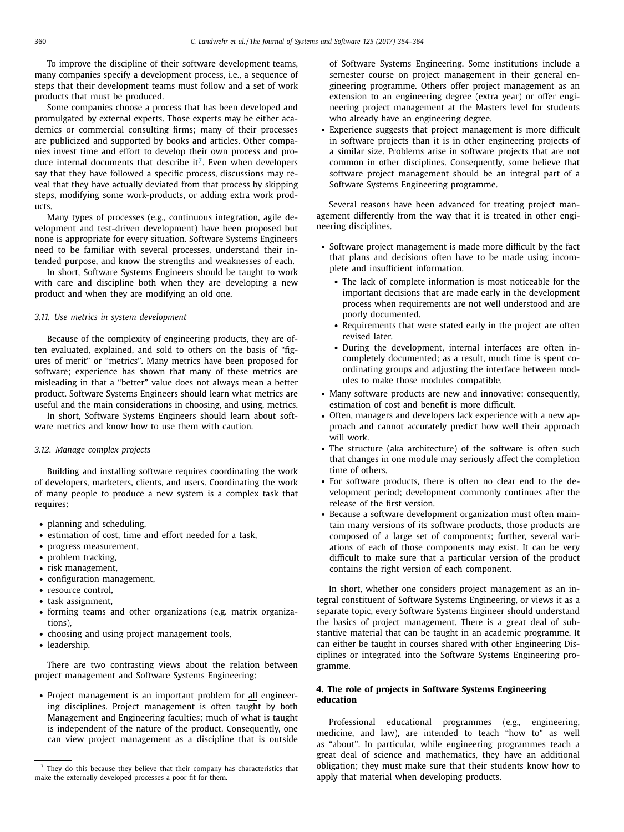<span id="page-6-0"></span>To improve the discipline of their software development teams, many companies specify a development process, i.e., a sequence of steps that their development teams must follow and a set of work products that must be produced.

Some companies choose a process that has been developed and promulgated by external experts. Those experts may be either academics or commercial consulting firms; many of their processes are publicized and supported by books and articles. Other companies invest time and effort to develop their own process and produce internal documents that describe it<sup>7</sup>. Even when developers say that they have followed a specific process, discussions may reveal that they have actually deviated from that process by skipping steps, modifying some work-products, or adding extra work products.

Many types of processes (e.g., continuous integration, agile development and test-driven development) have been proposed but none is appropriate for every situation. Software Systems Engineers need to be familiar with several processes, understand their intended purpose, and know the strengths and weaknesses of each.

In short, Software Systems Engineers should be taught to work with care and discipline both when they are developing a new product and when they are modifying an old one.

#### *3.11. Use metrics in system development*

Because of the complexity of engineering products, they are often evaluated, explained, and sold to others on the basis of "figures of merit" or "metrics". Many metrics have been proposed for software; experience has shown that many of these metrics are misleading in that a "better" value does not always mean a better product. Software Systems Engineers should learn what metrics are useful and the main considerations in choosing, and using, metrics.

In short, Software Systems Engineers should learn about software metrics and know how to use them with caution.

#### *3.12. Manage complex projects*

Building and installing software requires coordinating the work of developers, marketers, clients, and users. Coordinating the work of many people to produce a new system is a complex task that requires:

- planning and scheduling,
- estimation of cost, time and effort needed for a task,
- progress measurement,
- problem tracking,
- risk management,
- configuration management,
- resource control,
- task assignment,
- forming teams and other organizations (e.g. matrix organizations),
- choosing and using project management tools,
- leadership.

There are two contrasting views about the relation between project management and Software Systems Engineering:

• Project management is an important problem for all engineering disciplines. Project management is often taught by both Management and Engineering faculties; much of what is taught is independent of the nature of the product. Consequently, one can view project management as a discipline that is outside of Software Systems Engineering. Some institutions include a semester course on project management in their general engineering programme. Others offer project management as an extension to an engineering degree (extra year) or offer engineering project management at the Masters level for students who already have an engineering degree.

• Experience suggests that project management is more difficult in software projects than it is in other engineering projects of a similar size. Problems arise in software projects that are not common in other disciplines. Consequently, some believe that software project management should be an integral part of a Software Systems Engineering programme.

Several reasons have been advanced for treating project management differently from the way that it is treated in other engineering disciplines.

- Software project management is made more difficult by the fact that plans and decisions often have to be made using incomplete and insufficient information.
	- The lack of complete information is most noticeable for the important decisions that are made early in the development process when requirements are not well understood and are poorly documented.
	- Requirements that were stated early in the project are often revised later.
	- During the development, internal interfaces are often incompletely documented; as a result, much time is spent coordinating groups and adjusting the interface between modules to make those modules compatible.
- Many software products are new and innovative; consequently, estimation of cost and benefit is more difficult.
- Often, managers and developers lack experience with a new approach and cannot accurately predict how well their approach will work.
- The structure (aka architecture) of the software is often such that changes in one module may seriously affect the completion time of others.
- For software products, there is often no clear end to the development period; development commonly continues after the release of the first version.
- Because a software development organization must often maintain many versions of its software products, those products are composed of a large set of components; further, several variations of each of those components may exist. It can be very difficult to make sure that a particular version of the product contains the right version of each component.

In short, whether one considers project management as an integral constituent of Software Systems Engineering, or views it as a separate topic, every Software Systems Engineer should understand the basics of project management. There is a great deal of substantive material that can be taught in an academic programme. It can either be taught in courses shared with other Engineering Disciplines or integrated into the Software Systems Engineering programme.

# **4. The role of projects in Software Systems Engineering education**

Professional educational programmes (e.g., engineering, medicine, and law), are intended to teach "how to" as well as "about". In particular, while engineering programmes teach a great deal of science and mathematics, they have an additional obligation; they must make sure that their students know how to apply that material when developing products.

 $7$  They do this because they believe that their company has characteristics that make the externally developed processes a poor fit for them.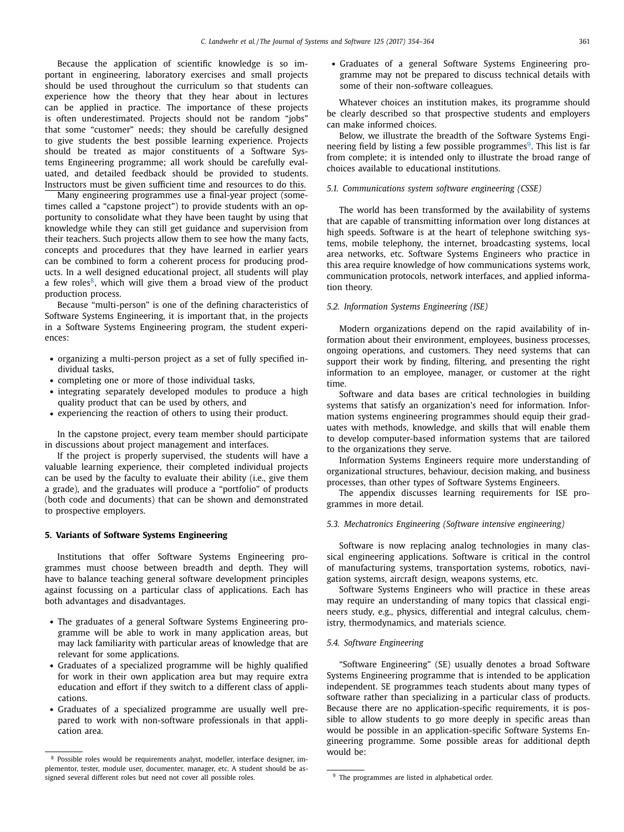<span id="page-7-0"></span>Because the application of scientific knowledge is so important in engineering, laboratory exercises and small projects should be used throughout the curriculum so that students can experience how the theory that they hear about in lectures can be applied in practice. The importance of these projects is often underestimated. Projects should not be random "jobs" that some "customer" needs; they should be carefully designed to give students the best possible learning experience. Projects should be treated as major constituents of a Software Systems Engineering programme; all work should be carefully evaluated, and detailed feedback should be provided to students. Instructors must be given sufficient time and resources to do this.

Many engineering programmes use a final-year project (sometimes called a "capstone project") to provide students with an opportunity to consolidate what they have been taught by using that knowledge while they can still get guidance and supervision from their teachers. Such projects allow them to see how the many facts, concepts and procedures that they have learned in earlier years can be combined to form a coherent process for producing products. In a well designed educational project, all students will play a few roles<sup>8</sup>, which will give them a broad view of the product production process.

Because "multi-person" is one of the defining characteristics of Software Systems Engineering, it is important that, in the projects in a Software Systems Engineering program, the student experiences:

- organizing a multi-person project as a set of fully specified individual tasks,
- completing one or more of those individual tasks,
- integrating separately developed modules to produce a high quality product that can be used by others, and
- experiencing the reaction of others to using their product.

In the capstone project, every team member should participate in discussions about project management and interfaces.

If the project is properly supervised, the students will have a valuable learning experience, their completed individual projects can be used by the faculty to evaluate their ability (i.e., give them a grade), and the graduates will produce a "portfolio" of products (both code and documents) that can be shown and demonstrated to prospective employers.

# **5. Variants of Software Systems Engineering**

Institutions that offer Software Systems Engineering programmes must choose between breadth and depth. They will have to balance teaching general software development principles against focussing on a particular class of applications. Each has both advantages and disadvantages.

- The graduates of a general Software Systems Engineering programme will be able to work in many application areas, but may lack familiarity with particular areas of knowledge that are relevant for some applications.
- Graduates of a specialized programme will be highly qualified for work in their own application area but may require extra education and effort if they switch to a different class of applications.
- Graduates of a specialized programme are usually well prepared to work with non-software professionals in that application area.

• Graduates of a general Software Systems Engineering programme may not be prepared to discuss technical details with some of their non-software colleagues.

Whatever choices an institution makes, its programme should be clearly described so that prospective students and employers can make informed choices.

Below, we illustrate the breadth of the Software Systems Engineering field by listing a few possible programmes $9$ . This list is far from complete; it is intended only to illustrate the broad range of choices available to educational institutions.

#### *5.1. Communications system software engineering (CSSE)*

The world has been transformed by the availability of systems that are capable of transmitting information over long distances at high speeds. Software is at the heart of telephone switching systems, mobile telephony, the internet, broadcasting systems, local area networks, etc. Software Systems Engineers who practice in this area require knowledge of how communications systems work, communication protocols, network interfaces, and applied information theory.

#### *5.2. Information Systems Engineering (ISE)*

Modern organizations depend on the rapid availability of information about their environment, employees, business processes, ongoing operations, and customers. They need systems that can support their work by finding, filtering, and presenting the right information to an employee, manager, or customer at the right time.

Software and data bases are critical technologies in building systems that satisfy an organization's need for information. Information systems engineering programmes should equip their graduates with methods, knowledge, and skills that will enable them to develop computer-based information systems that are tailored to the organizations they serve.

Information Systems Engineers require more understanding of organizational structures, behaviour, decision making, and business processes, than other types of Software Systems Engineers.

The appendix discusses learning requirements for ISE programmes in more detail.

# *5.3. Mechatronics Engineering (Software intensive engineering)*

Software is now replacing analog technologies in many classical engineering applications. Software is critical in the control of manufacturing systems, transportation systems, robotics, navigation systems, aircraft design, weapons systems, etc.

Software Systems Engineers who will practice in these areas may require an understanding of many topics that classical engineers study, e.g., physics, differential and integral calculus, chemistry, thermodynamics, and materials science.

#### *5.4. Software Engineering*

"Software Engineering" (SE) usually denotes a broad Software Systems Engineering programme that is intended to be application independent. SE programmes teach students about many types of software rather than specializing in a particular class of products. Because there are no application-specific requirements, it is possible to allow students to go more deeply in specific areas than would be possible in an application-specific Software Systems Engineering programme. Some possible areas for additional depth would be:

<sup>8</sup> Possible roles would be requirements analyst, modeller, interface designer, implementor, tester, module user, documenter, manager, etc. A student should be assigned several different roles but need not cover all possible roles.

<sup>&</sup>lt;sup>9</sup> The programmes are listed in alphabetical order.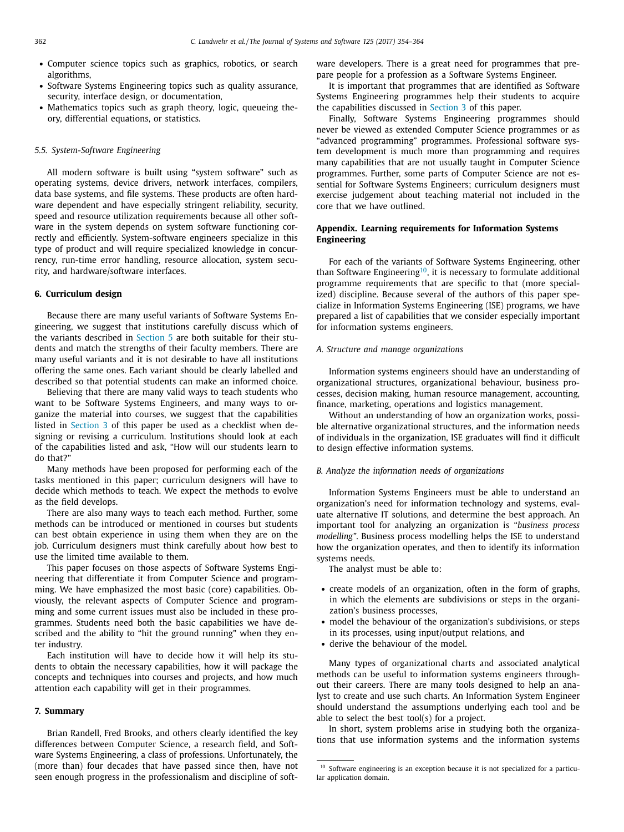- <span id="page-8-0"></span>• Computer science topics such as graphics, robotics, or search algorithms,
- Software Systems Engineering topics such as quality assurance, security, interface design, or documentation,
- Mathematics topics such as graph theory, logic, queueing theory, differential equations, or statistics.

#### *5.5. System-Software Engineering*

All modern software is built using "system software" such as operating systems, device drivers, network interfaces, compilers, data base systems, and file systems. These products are often hardware dependent and have especially stringent reliability, security, speed and resource utilization requirements because all other software in the system depends on system software functioning correctly and efficiently. System-software engineers specialize in this type of product and will require specialized knowledge in concurrency, run-time error handling, resource allocation, system security, and hardware/software interfaces.

# **6. Curriculum design**

Because there are many useful variants of Software Systems Engineering, we suggest that institutions carefully discuss which of the variants described in [Section](#page-7-0) 5 are both suitable for their students and match the strengths of their faculty members. There are many useful variants and it is not desirable to have all institutions offering the same ones. Each variant should be clearly labelled and described so that potential students can make an informed choice.

Believing that there are many valid ways to teach students who want to be Software Systems Engineers, and many ways to organize the material into courses, we suggest that the capabilities listed in [Section](#page-1-0) 3 of this paper be used as a checklist when designing or revising a curriculum. Institutions should look at each of the capabilities listed and ask, "How will our students learn to do that?"

Many methods have been proposed for performing each of the tasks mentioned in this paper; curriculum designers will have to decide which methods to teach. We expect the methods to evolve as the field develops.

There are also many ways to teach each method. Further, some methods can be introduced or mentioned in courses but students can best obtain experience in using them when they are on the job. Curriculum designers must think carefully about how best to use the limited time available to them.

This paper focuses on those aspects of Software Systems Engineering that differentiate it from Computer Science and programming. We have emphasized the most basic (core) capabilities. Obviously, the relevant aspects of Computer Science and programming and some current issues must also be included in these programmes. Students need both the basic capabilities we have described and the ability to "hit the ground running" when they enter industry.

Each institution will have to decide how it will help its students to obtain the necessary capabilities, how it will package the concepts and techniques into courses and projects, and how much attention each capability will get in their programmes.

#### **7. Summary**

Brian Randell, Fred Brooks, and others clearly identified the key differences between Computer Science, a research field, and Software Systems Engineering, a class of professions. Unfortunately, the (more than) four decades that have passed since then, have not seen enough progress in the professionalism and discipline of software developers. There is a great need for programmes that prepare people for a profession as a Software Systems Engineer.

It is important that programmes that are identified as Software Systems Engineering programmes help their students to acquire the capabilities discussed in [Section](#page-1-0) 3 of this paper.

Finally, Software Systems Engineering programmes should never be viewed as extended Computer Science programmes or as "advanced programming" programmes. Professional software system development is much more than programming and requires many capabilities that are not usually taught in Computer Science programmes. Further, some parts of Computer Science are not essential for Software Systems Engineers; curriculum designers must exercise judgement about teaching material not included in the core that we have outlined.

# **Appendix. Learning requirements for Information Systems Engineering**

For each of the variants of Software Systems Engineering, other than Software Engineering<sup>10</sup>, it is necessary to formulate additional programme requirements that are specific to that (more specialized) discipline. Because several of the authors of this paper specialize in Information Systems Engineering (ISE) programs, we have prepared a list of capabilities that we consider especially important for information systems engineers.

#### *A. Structure and manage organizations*

Information systems engineers should have an understanding of organizational structures, organizational behaviour, business processes, decision making, human resource management, accounting, finance, marketing, operations and logistics management.

Without an understanding of how an organization works, possible alternative organizational structures, and the information needs of individuals in the organization, ISE graduates will find it difficult to design effective information systems.

#### *B. Analyze the information needs of organizations*

Information Systems Engineers must be able to understand an organization's need for information technology and systems, evaluate alternative IT solutions, and determine the best approach. An important tool for analyzing an organization is "*business process modelling"*. Business process modelling helps the ISE to understand how the organization operates, and then to identify its information systems needs.

The analyst must be able to:

- create models of an organization, often in the form of graphs, in which the elements are subdivisions or steps in the organization's business processes,
- model the behaviour of the organization's subdivisions, or steps in its processes, using input/output relations, and
- derive the behaviour of the model.

Many types of organizational charts and associated analytical methods can be useful to information systems engineers throughout their careers. There are many tools designed to help an analyst to create and use such charts. An Information System Engineer should understand the assumptions underlying each tool and be able to select the best tool(s) for a project.

In short, system problems arise in studying both the organizations that use information systems and the information systems

 $10$  Software engineering is an exception because it is not specialized for a particular application domain.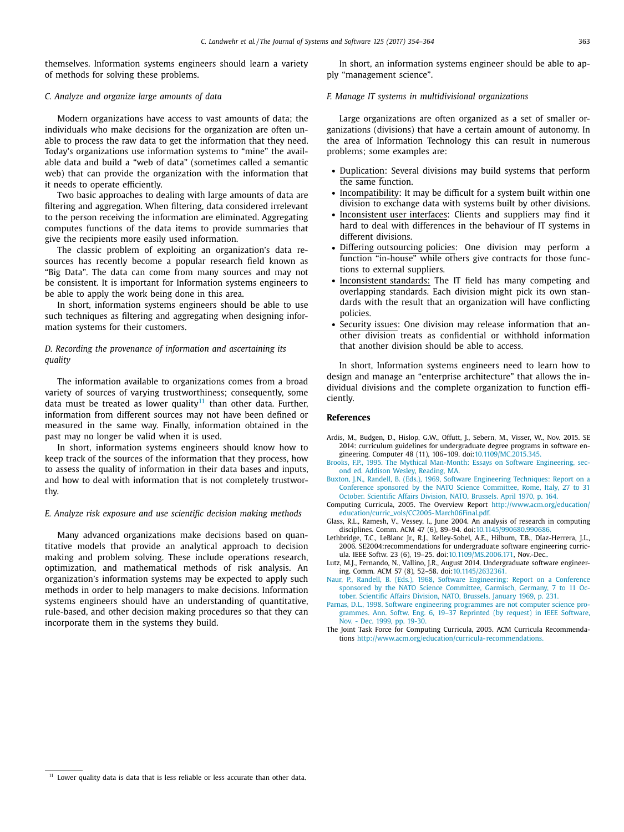<span id="page-9-0"></span>themselves. Information systems engineers should learn a variety of methods for solving these problems.

#### *C. Analyze and organize large amounts of data*

Modern organizations have access to vast amounts of data; the individuals who make decisions for the organization are often unable to process the raw data to get the information that they need. Today's organizations use information systems to "mine" the available data and build a "web of data" (sometimes called a semantic web) that can provide the organization with the information that it needs to operate efficiently.

Two basic approaches to dealing with large amounts of data are filtering and aggregation. When filtering, data considered irrelevant to the person receiving the information are eliminated. Aggregating computes functions of the data items to provide summaries that give the recipients more easily used information.

The classic problem of exploiting an organization's data resources has recently become a popular research field known as "Big Data". The data can come from many sources and may not be consistent. It is important for Information systems engineers to be able to apply the work being done in this area.

In short, information systems engineers should be able to use such techniques as filtering and aggregating when designing information systems for their customers.

# *D. Recording the provenance of information and ascertaining its quality*

The information available to organizations comes from a broad variety of sources of varying trustworthiness; consequently, some data must be treated as lower quality<sup>11</sup> than other data. Further, information from different sources may not have been defined or measured in the same way. Finally, information obtained in the past may no longer be valid when it is used.

In short, information systems engineers should know how to keep track of the sources of the information that they process, how to assess the quality of information in their data bases and inputs, and how to deal with information that is not completely trustworthy.

#### *E. Analyze risk exposure and use scientific decision making methods*

Many advanced organizations make decisions based on quantitative models that provide an analytical approach to decision making and problem solving. These include operations research, optimization, and mathematical methods of risk analysis. An organization's information systems may be expected to apply such methods in order to help managers to make decisions. Information systems engineers should have an understanding of quantitative, rule-based, and other decision making procedures so that they can incorporate them in the systems they build.

In short, an information systems engineer should be able to apply "management science".

#### *F. Manage IT systems in multidivisional organizations*

Large organizations are often organized as a set of smaller organizations (divisions) that have a certain amount of autonomy. In the area of Information Technology this can result in numerous problems; some examples are:

- Duplication: Several divisions may build systems that perform the same function.
- Incompatibility: It may be difficult for a system built within one division to exchange data with systems built by other divisions.
- Inconsistent user interfaces: Clients and suppliers may find it hard to deal with differences in the behaviour of IT systems in different divisions.
- Differing outsourcing policies: One division may perform a function "in-house" while others give contracts for those functions to external suppliers.
- Inconsistent standards: The IT field has many competing and overlapping standards. Each division might pick its own standards with the result that an organization will have conflicting policies.
- Security issues: One division may release information that another division treats as confidential or withhold information that another division should be able to access.

In short, Information systems engineers need to learn how to design and manage an "enterprise architecture" that allows the individual divisions and the complete organization to function efficiently.

#### **References**

- Ardis, M., Budgen, D., Hislop, G.W., Offutt, J., Sebern, M., Visser, W., Nov. 2015. SE 2014: curriculum guidelines for undergraduate degree programs in software engineering. Computer 48 (11), 106–109. doi[:10.1109/MC.2015.345.](http://dx.doi.org/10.1109/MC.2015.345)
- [Brooks,](http://refhub.elsevier.com/S0164-1212(16)30257-6/sbref0001) F.P., 1995. The Mythical [Man-Month:](http://refhub.elsevier.com/S0164-1212(16)30257-6/sbref0001) Essays on Software Engineering, second ed. Addison Wesley, Reading, MA.
- Buxton, J.N., Randell, B. (Eds.), 1969, Software [Engineering](http://refhub.elsevier.com/S0164-1212(16)30257-6/sbref0002) Techniques: Report on a Conference sponsored by the NATO Science Committee, Rome, Italy, 27 to 31 October. Scientific Affairs Division, NATO, Brussels. April 1970, p. 164.
- Computing Curricula, 2005. The Overview Report http://www.acm.org/education/ [education/curric\\_vols/CC2005-March06Final.pdf.](http://www.acm.org/education/education/curric_vols/CC2005-March06Final.pdf)
- Glass, R.L., Ramesh, V., Vessey, I., June 2004. An analysis of research in computing disciplines. Comm. ACM 47 (6), 89–94. doi[:10.1145/990680.990686.](http://dx.doi.org/10.1145/990680.990686)
- Lethbridge, T.C., LeBlanc Jr., R.J., Kelley-Sobel, A.E., Hilburn, T.B., Díaz-Herrera, J.L., 2006. SE2004:recommendations for undergraduate software engineering curricula. IEEE Softw. 23 (6), 19–25. doi[:10.1109/MS.2006.171,](http://dx.doi.org/10.1109/MS.2006.171) Nov.-Dec..
- Lutz, M.J., Fernando, N., Vallino, J.R., August 2014. Undergraduate software engineering. Comm. ACM 57 (8), 52–58. doi[:10.1145/2632361.](http://dx.doi.org/10.1145/2632361)
- Naur, P., Randell, B. (Eds.), 1968, Software [Engineering:](http://refhub.elsevier.com/S0164-1212(16)30257-6/sbref0003) Report on a Conference sponsored by the NATO Science Committee, Garmisch, Germany, 7 to 11 October. Scientific Affairs Division, NATO, Brussels. January 1969, p. 231.
- [Parnas,](http://refhub.elsevier.com/S0164-1212(16)30257-6/sbref0005) D.L., 1998. Software engineering [programmes](http://refhub.elsevier.com/S0164-1212(16)30257-6/sbref0005) are not computer science programmes. Ann. Softw. Eng. 6, 19–37 Reprinted (by request) in IEEE Software, Nov. - Dec. 1999, pp. 19-30.
- The Joint Task Force for Computing Curricula, 2005. ACM Curricula Recommendations [http://www.acm.org/education/curricula-recommendations.](http://www.acm.org/education/curricula-recommendations)

 $11$  Lower quality data is data that is less reliable or less accurate than other data.